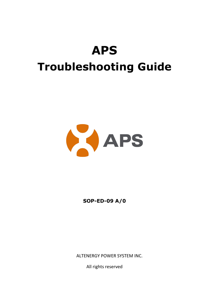# **APS Troubleshooting Guide**



**SOP-ED-09 A/0**

ALTENERGY POWER SYSTEM INC.

All rights reserved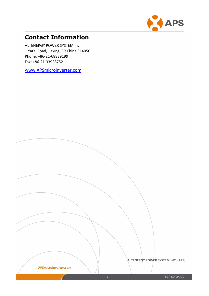

# **Contact Information**

ALTENERGY POWER SYSTEM Inc. 1 Yatai Road, Jiaxing, PR China 314050 Phone: +86-21-68889199 Fax: +86-21-33928752

[www.APSmicroinverter.com](http://www.apsmicroinverter.com/)

APSmicroinverter.com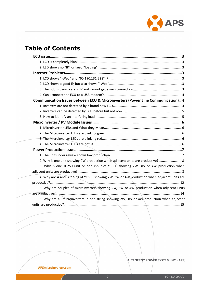

# **Table of Contents**

| Communication Issues between ECU & Microinverters (Power Line Communication) 4                                  |  |
|-----------------------------------------------------------------------------------------------------------------|--|
|                                                                                                                 |  |
|                                                                                                                 |  |
|                                                                                                                 |  |
|                                                                                                                 |  |
|                                                                                                                 |  |
|                                                                                                                 |  |
|                                                                                                                 |  |
|                                                                                                                 |  |
|                                                                                                                 |  |
|                                                                                                                 |  |
| 2. Why is one unit showing OW production when adjacent units are productive? 8                                  |  |
| 3. Why is one YC250 unit or one input of YC500 showing 2W, 3W or 4W production when                             |  |
|                                                                                                                 |  |
| 4. Why are A and B inputs of YC500 showing 2W, 3W or 4W production when adjacent units are                      |  |
|                                                                                                                 |  |
| 5. Why are couples of microinverters showing 2W, 3W or 4W production when adjacent units                        |  |
|                                                                                                                 |  |
| 6. Why are all microinverters in one string showing 2W, 3W or $4W$ production when adjacent                     |  |
|                                                                                                                 |  |
| the contract of the contract of the contract of the contract of the contract of the contract of the contract of |  |

ALTENERGY POWER SYSTEM INC. (APS)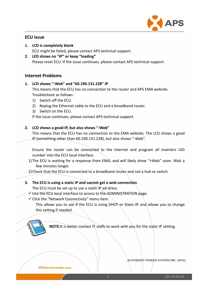

# <span id="page-3-1"></span><span id="page-3-0"></span>**ECU issue**

- **1. LCD is completely blank** ECU might be failed, please contact APS technical support.
- **2. LED shows no "IP"or keep "loading"** Please reset ECU. If the issue continues, please contact APS technical support.

# **Internet Problems**

#### **1. LCD shows "-Web" and "60.190.131.228" IP**

This means that the ECU has no connection to the router and APS EMA website. Troubleshoot as follows:

- 1) Switch off the ECU
- 2) Replug the Ethernet cable to the ECU and a broadband router.
- 3) Switch on the ECU.

If the issue continues, please contact APS technical support.

#### **2. LCD shows a good IP,but also shows "-Web"**

This means that the ECU has no connection to the EMA website. The LCD shows a good IP (something other than 60.190.131.228), but also shows "-Web".

Ensure the router can be connected to the internet and program all inverters UID number into the ECU local interface.

1) The ECU is waiting for a response from EMA, and will likely show "+Web" soon. Wait a few minutes longer.

2)Check that the ECU is connected to a broadband router and not a hub or switch.

# **3. The ECU is using a static IP and cannot get a web connection**

The ECU must be set up to use a static IP ad-dress.

- $\checkmark$  Use the ECU local interface to access to the ADMINISTRATION page.
- $\checkmark$  Click the "Network Connectivity" menu item.

This allows you to see if the ECU is using DHCP or Static-IP, and allows you to change this setting if needed.



**NOTE:**It is better contact IT staffs to work with you for the static IP setting.

#### APSmicroinverter.com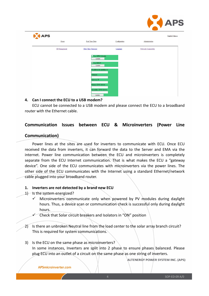

<span id="page-4-1"></span><span id="page-4-0"></span>

| APS |                      |                                  |               |                      | English/Chinese |
|-----|----------------------|----------------------------------|---------------|----------------------|-----------------|
|     | Home                 | Real Time Data                   | Configuration | Administration       |                 |
|     | <b>ID</b> Management | Date.Time.Timezone               | Language      | Network Connectivity |                 |
|     |                      | $\Box$ Use GPRS Module<br>Update |               |                      |                 |
|     |                      | <b>V</b> Use DHCP<br>Update      |               |                      |                 |
|     |                      | IP address for interface 0:      |               |                      |                 |
|     |                      | Netmask:<br>Gateway IP:          |               |                      |                 |
|     |                      | Primary DNS Server:              |               |                      |                 |
|     |                      | Secondary DNS Server:<br>Update  |               |                      |                 |

#### **4. Can I connect the ECU to a USB modem?**

ECU cannot be connected to a USB modem and please connect the ECU to a broadband router with the Ethernet cable.

# **Communication Issues between ECU & Microinverters (Power Line**

### **Communication)**

Power lines at the sites are used for inverters to communicate with ECU. Once ECU received the data from inverters, it can forward the data to the Server and EMA via the internet. Power line communication between the ECU and microinverters is completely separate from the ECU Internet communication. That is what makes the ECU a "gateway device". One side of the ECU communicates with microinverters via the power lines. The other side of the ECU communicates with the Internet using a standard Ethernet/network cable plugged into your broadband router.

#### **1. Inverters are not detected bya brand new ECU**

- 1) Is the system energized?
	- $\checkmark$  Microinverters communicate only when powered by PV modules during daylight hours. Thus, a device scan or communication check is successful only during daylight hours.
		- Check that Solar circuit breakers and Isolators in "ON" position
- 2) Is there an unbroken Neutral line from the load center to the solar array branch circuit? This is required for system communications.
- 3) Is the ECU on the same phase as microinverters? In some instances, Inverters are split into 2 phase to ensure phases balanced. Please plug ECU into an outlet of a circuiton the same phase as one string of inverters.

ALTENERGY POWER SYSTEM INC. (APS)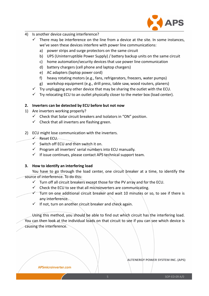

- <span id="page-5-0"></span>4) Is another device causing interference?
	- $\checkmark$  There may be interference on the line from a device at the site. In some instances, we've seen these devices interfere with power line communications:
		- a) power strips and surge protectors on the same circuit
		- b) UPS (Uninterruptible Power Supply) / battery backup units on the same circuit
		- c) home automation/security devices that use power line communication
		- d) battery chargers (cell phone and laptop chargers)
		- e) AC adapters (laptop power cord)
		- f) heavy rotating motors (e.g., fans, refrigerators, freezers, water pumps)
		- g) workshop equipment (e.g., drill press, table saw, wood routers, planers)
	- $\checkmark$  Try unplugging any other device that may be sharing the outlet with the ECU.
	- $\checkmark$  Try relocating ECU to an outlet physically closer to the meter box (load center).

### **2. Inverters can be detected by ECU before but not now**

- 1) Are inverters working properly?
	- $\checkmark$  Check that Solar circuit breakers and Isolators in "ON" position.
	- $\checkmark$  Check that all inverters are flashing green.
- 2) ECU might lose communication with the inverters.
	- $\checkmark$  Reset ECU.
	- $\checkmark$  Switch off ECU and then switch it on.
	- $\checkmark$  Program all inverters' serial numbers into ECU manually.
	- $\checkmark$  If issue continues, please contact APS technical support team.

### **3. How to identify an interfering load**

You have to go through the load center, one circuit breaker at a time, to identify the source of interference. To do this:

- $\checkmark$  Turn off all circuit breakers except those for the PV array and for the ECU.
- $\checkmark$  Check the ECU to see that all microinverters are communicating.
- $\checkmark$  Turn on one additional circuit breaker and wait 10 minutes or so, to see if there is any interference.
- $\checkmark$  If not, turn on another circuit breaker and check again.

Using this method, you should be able to find out which circuit has the interfering load. You can then look at the individual loads on that circuit to see if you can see which device is causing the interference.

APSmicroinverter.com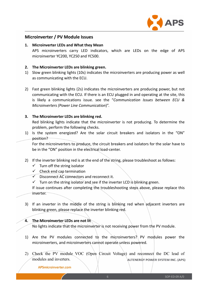

### <span id="page-6-1"></span><span id="page-6-0"></span>**Microinverter / PV Module Issues**

#### **1. Microinverter LEDs and What they Mean**

APS microinverters carry LED indicators, which are LEDs on the edge of APS microinverter YC200, YC250 and YC500.

#### **2. The Microinverter LEDs are blinking green.**

- 1) Slow green blinking lights (10s) indicates the microinverters are producing power as well as communicating with the ECU.
- 2) Fast green blinking lights (2s) indicates the microinverters are producing power, but not communicating with the ECU. If there is an ECU plugged in and operating at the site, this is likely a communications issue. see the "*Communication Issues between ECU & Microinverters (Power Line Communication*)".

#### **3. The Microinverter LEDs are blinking red.**

Red blinking lights indicate that the microinverter is not producing. To determine the problem, perform the following checks.

1) Is the system energized? Are the solar circuit breakers and isolators in the "ON" position?

For the microinverters to produce, the circuit breakers and isolators for the solar have to be in the "ON" position in the electrical load-center.

- 2) If the inverter blinking red is at the end of the string, please troubleshoot as follows:
	- $\checkmark$  Turn off the string isolator
	- $\checkmark$  Check end cap termination
	- $\checkmark$  Disconnect AC connectors and reconnect it.
	- $\checkmark$  Turn on the string isolator and see if the inverter LCD is blinking green.

If issue continues after completing the troubleshooting steps above, please replace this inverter.

3) If an inverter in the middle of the string is blinking red when adjacent inverters are blinking green, please replace the inverter blinking red.

#### **4. The Microinverter LEDs are not lit**

No lights indicate that the microinverter is not receiving power from the PV module.

- 1) Are the PV modules connected to the microinverters? PV modules power the microinverters, and microinverters cannot operate unless powered.
- 2) Check the PV module VOC (Open Circuit Voltage) and reconnect the DC lead of modules and inverters.**ALTENERGY POWER SYSTEM INC. (APS)**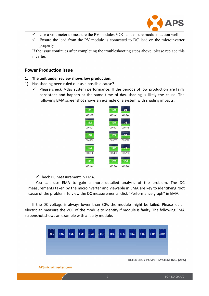

- <span id="page-7-1"></span><span id="page-7-0"></span> $\checkmark$  Use a volt meter to measure the PV modules VOC and ensure module faction well.
- $\checkmark$  Ensure the lead from the PV module is connected to DC lead on the microinverter properly.

If the issue continues after completing the troubleshooting steps above, please replace this inverter.

### **Power Production issue**

- **1. The unit under review shows low production.**
- 1) Has shading been ruled out as a possible cause?
	- $\checkmark$  Please check 7-day system performance. If the periods of low production are fairly consistent and happen at the same time of day, shading is likely the cause. The following EMA screenshot shows an example of a system with shading impacts.



 $\checkmark$  Check DC Measurement in EMA.

You can use EMA to gain a more detailed analysis of the problem. The DC measurements taken by the microinverter and viewable in EMA arekey to identifying root cause of the problem. To view the DC measurements, click "Performance graph" in EMA.

If the DC voltage is always lower than 30V, the module might be failed. Please let an electrician measure the VOC of the module to identify if module is faulty. The following EMA screenshot shows an example with a faulty module.

| l :70 :              | $+ + + +$<br>106<br> | $+ + + +$<br>308 | $+ + + +$<br>109.<br>$+ + + +$ | $+ + + +$<br>308 | $+ + + +$<br><b>EXXX</b> | $+ + + +$<br>309 | $+ + + +$<br>aaa: | $- + + + +$<br>109.<br>. | $+ + + +$<br>  3301  <br>$\cdots$        | $+ + + +$<br>1330.<br>$\cdots$ | $***$<br>1330.<br>$\cdots$ |
|----------------------|----------------------|------------------|--------------------------------|------------------|--------------------------|------------------|-------------------|--------------------------|------------------------------------------|--------------------------------|----------------------------|
|                      |                      |                  |                                |                  |                          |                  |                   |                          |                                          |                                |                            |
| APSmicroinverter.com |                      |                  |                                |                  |                          |                  |                   |                          | <b>ALTENERGY POWER SYSTEM INC. (APS)</b> |                                |                            |
|                      |                      |                  |                                |                  |                          |                  |                   |                          |                                          |                                | SOP-ED-09 A/0              |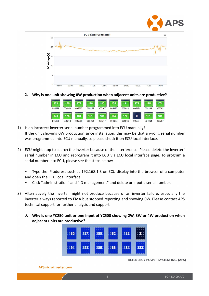

<span id="page-8-0"></span>

**2. Why is one unit showing 0W production when adjacent units are productive?**

| 178    | 75     | 176    | 178    | 180    | 75     | 181    | 173    | 75     |        |
|--------|--------|--------|--------|--------|--------|--------|--------|--------|--------|
| 004989 | 004943 | 005267 | 005188 | 005107 | 005380 | 005023 | 005198 | 005243 | 005292 |
| 178    | 75     | 184    | 181    | 181    | 84     | 179    | 0      | 181    |        |
| 005350 | 005218 | 005069 | 005091 | 005217 | 004923 | 005066 | 005094 | 004964 | 005207 |

- 1) Is an incorrect inverter serial number programmed into ECU manually? If the unit showing 0W production since installation, this may be that a wrong serial number was programmed into ECU manually, so please check it on ECU local interface.
- 2) ECU might stop to search the inverter because of the interference. Please delete the inverter' serial number in ECU and reprogram it into ECU via ECU local interface page. To program a serial number into ECU, please see the steps below:

 $\checkmark$  Type the IP address such as 192.168.1.3 on ECU display into the browser of a computer and open the ECU local interface.

- $\checkmark$  Click "administration" and "ID management" and delete or input a serial number.
- 3) Alternatively the inverter might not produce because of an inverter failure, especially the inverter always reported to EMA but stopped reporting and showing 0W. Please contact APS technical support for further analysis and support.
	- **3. Why is one YC250 unit or one input ofYC500 showing 2W, 3W or 4W production when adjacent units are productive?**

| 185. | 187. | 185. | 182  | 182 |      |
|------|------|------|------|-----|------|
| 191. | 191. | 185. | 186. | 184 | 183. |

**ALTENERGY POWER SYSTEM INC. (APS)** 

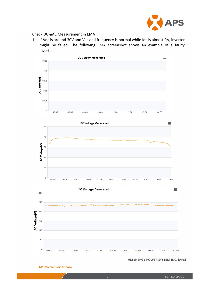

## Check DC &AC Measurement in EMA

1) If Vdc is around 30V and Vac and frequency is normal while Idc is almost 0A, inverter might be failed. The following EMA screenshot shows an example of a faulty inverter.



#### **ALTENERGY POWER SYSTEM INC. (APS)**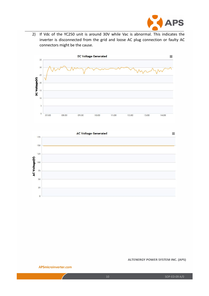

2) If Vdc of the YC250 unit is around 30V while Vac is abnormal. This indicates the inverter is disconnected from the grid and loose AC plug connection or faulty AC connectors might be the cause.





**ALTENERGY POWER SYSTEM INC. (APS)**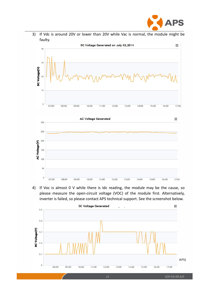

3) If Vdc is around 20V or lower than 20V while Vac is normal, the module might be faulty.



4) If Voc is almost 0 V while there is Idc reading, the module may be the cause, so please measure the open-circuit voltage (VOC) of the module first. Alternatively, inverter is failed, so please contact APS technical support. See the screenshot below.

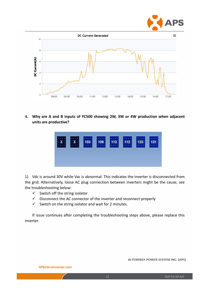

<span id="page-12-0"></span>

**4. Why are A and B inputs of YC500 showing 2W, 3W or 4W production when adjacent units are productive?**

|  | 103 | 109. | 112<br><b><i><u>START AND THE START OF THE START OF THE START OF THE START OF THE START OF THE START OF THE START OF THE START OF THE START OF THE START OF THE START OF THE START OF THE START OF THE START OF THE START OF THE START OF T</u></i></b> | 332 | 123. |  |
|--|-----|------|---------------------------------------------------------------------------------------------------------------------------------------------------------------------------------------------------------------------------------------------------------|-----|------|--|
|  |     |      |                                                                                                                                                                                                                                                         |     |      |  |

1) Vdc is around 30V while Vac is abnormal. This indicates the inverter is disconnected from the grid. Alternatively, loose AC plug connection between inverters might be the cause, see the troubleshooting below:

- $\checkmark$  Switch off the string isolator
- $\checkmark$  Disconnect the AC connector of the inverter and reconnect properly
- $\checkmark$  Switch on the string isolator and wait for 2 minutes.

If issue continues after completing the troubleshooting steps above, please replace this inverter.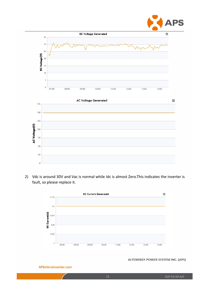

2) Vdc is around 30V and Vac is normal while Idc is almost Zero.This indicates the inverter is fault, so please replace it.



APSmicroinverter.com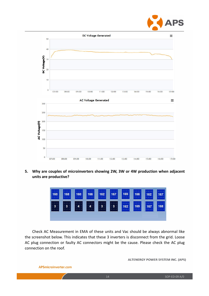

<span id="page-14-0"></span>

**5. Why are couples of microinverters showing 2W, 3W or 4W production when adjacent units are productive?**

|                                                                                                                                         |                   | 167. |
|-----------------------------------------------------------------------------------------------------------------------------------------|-------------------|------|
| $+ + + +$<br>$+ + + +$<br>$+ + + +$<br>$+ + + +$<br>: 3: 3<br>:4:<br>34.1<br>:3:<br>:3:<br>:3:1<br>169<br>162<br>$+ + + +$<br>$+ + + +$ | 167.<br>$+ + + +$ | 168. |

Check AC Measurement in EMA of these units and Vac should be always abnormal like the screenshot below. This indicates that these 3 inverters is disconnect from the grid. Loose AC plug connection or faulty AC connectors might be the cause. Please check the AC plug connection on the roof.

**ALTENERGY POWER SYSTEM INC. (APS)**